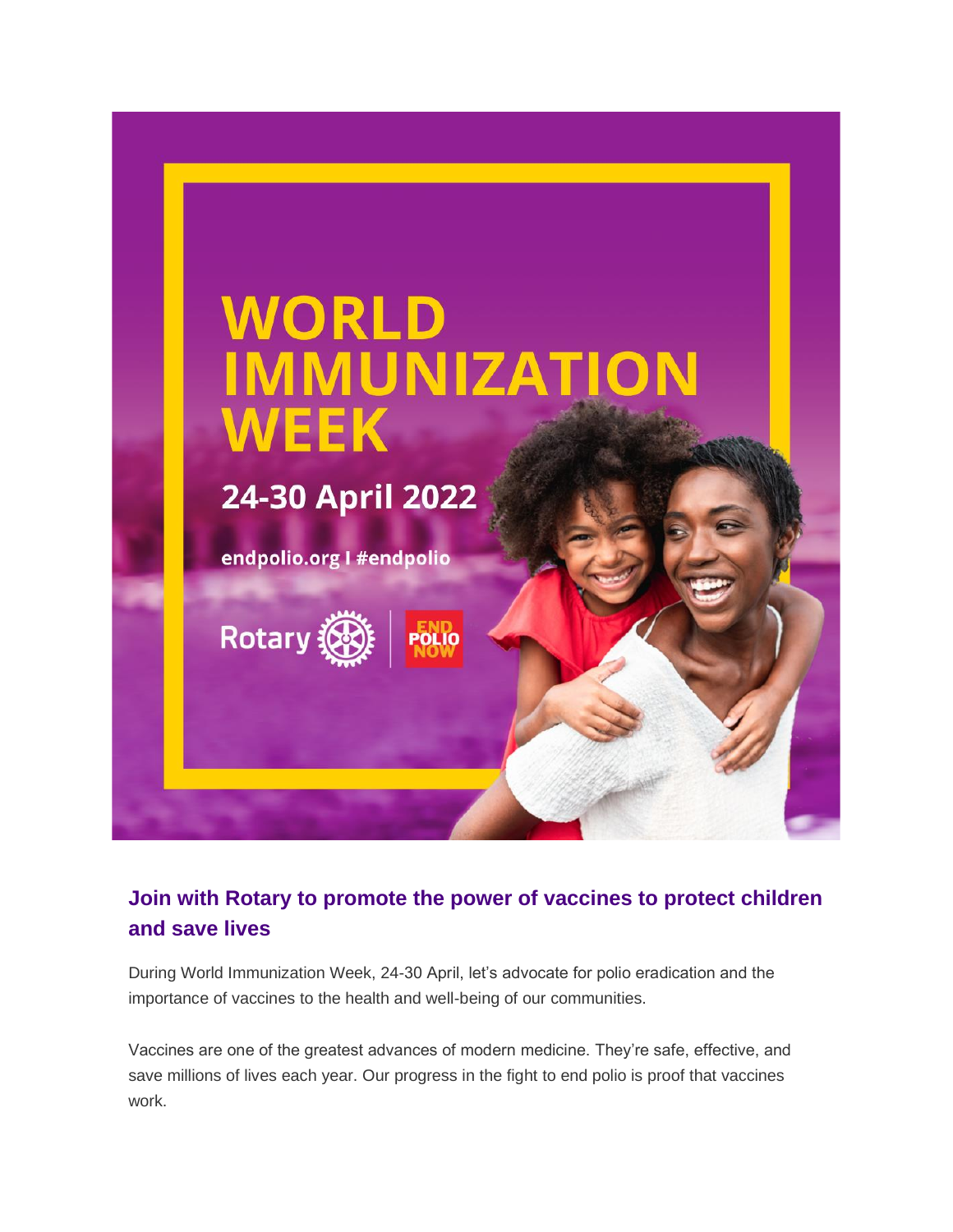

## **Join with Rotary to promote the power of vaccines to protect children and save lives**

During World Immunization Week, 24-30 April, let's advocate for polio eradication and the importance of vaccines to the health and well-being of our communities.

Vaccines are one of the greatest advances of modern medicine. They're safe, effective, and save millions of lives each year. Our progress in the fight to end polio is proof that vaccines work.